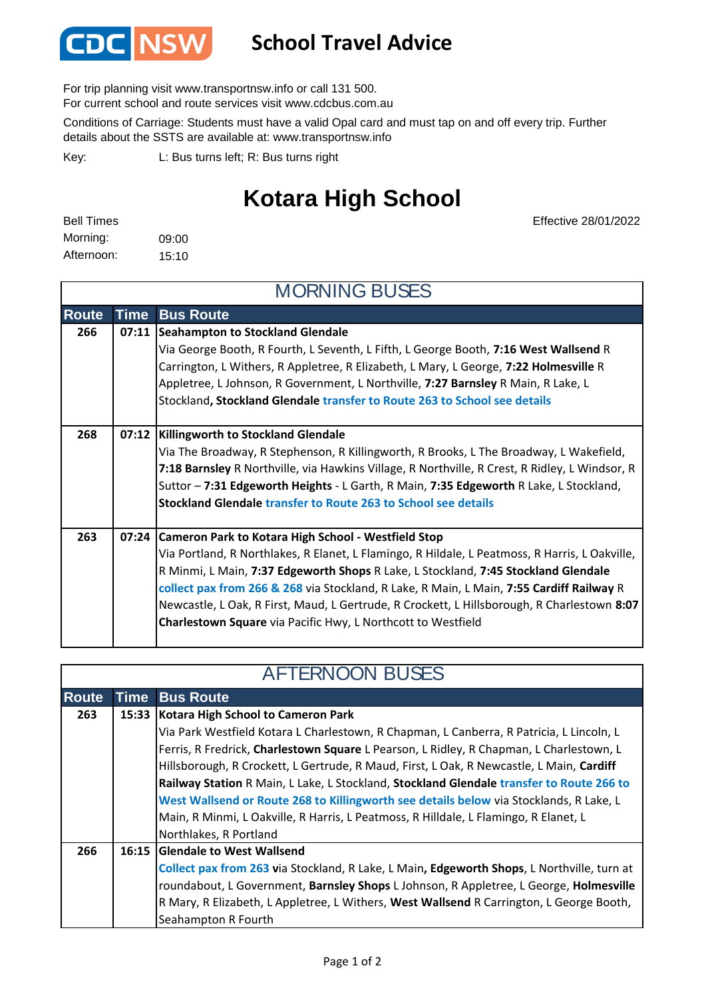

## **School Travel Advice**

For trip planning visit www.transportnsw.info or call 131 500.

For current school and route services visit www.cdcbus.com.au

Conditions of Carriage: Students must have a valid Opal card and must tap on and off every trip. Further details about the SSTS are available at: www.transportnsw.info

L: Bus turns left; R: Bus turns right Key:

## **Kotara High School**

| <b>Bell Times</b> |       |
|-------------------|-------|
| Morning:          | 09:00 |
| Afternoon:        | 15:10 |

Effective 28/01/2022

| <b>MORNING BUSES</b> |             |                                                                                                |  |
|----------------------|-------------|------------------------------------------------------------------------------------------------|--|
| <b>Route</b>         | <b>Time</b> | <b>Bus Route</b>                                                                               |  |
| 266                  |             | 07:11 Seahampton to Stockland Glendale                                                         |  |
|                      |             | Via George Booth, R Fourth, L Seventh, L Fifth, L George Booth, 7:16 West Wallsend R           |  |
|                      |             | Carrington, L Withers, R Appletree, R Elizabeth, L Mary, L George, 7:22 Holmesville R          |  |
|                      |             | Appletree, L Johnson, R Government, L Northville, 7:27 Barnsley R Main, R Lake, L              |  |
|                      |             | Stockland, Stockland Glendale transfer to Route 263 to School see details                      |  |
|                      |             |                                                                                                |  |
| 268                  |             | 07:12 Killingworth to Stockland Glendale                                                       |  |
|                      |             | Via The Broadway, R Stephenson, R Killingworth, R Brooks, L The Broadway, L Wakefield,         |  |
|                      |             | 7:18 Barnsley R Northville, via Hawkins Village, R Northville, R Crest, R Ridley, L Windsor, R |  |
|                      |             | Suttor - 7:31 Edgeworth Heights - L Garth, R Main, 7:35 Edgeworth R Lake, L Stockland,         |  |
|                      |             | Stockland Glendale transfer to Route 263 to School see details                                 |  |
|                      |             |                                                                                                |  |
| 263                  |             | 07:24 Cameron Park to Kotara High School - Westfield Stop                                      |  |
|                      |             | Via Portland, R Northlakes, R Elanet, L Flamingo, R Hildale, L Peatmoss, R Harris, L Oakville, |  |
|                      |             | R Minmi, L Main, 7:37 Edgeworth Shops R Lake, L Stockland, 7:45 Stockland Glendale             |  |
|                      |             | collect pax from 266 & 268 via Stockland, R Lake, R Main, L Main, 7:55 Cardiff Railway R       |  |
|                      |             | Newcastle, L Oak, R First, Maud, L Gertrude, R Crockett, L Hillsborough, R Charlestown 8:07    |  |
|                      |             | <b>Charlestown Square</b> via Pacific Hwy, L Northcott to Westfield                            |  |
|                      |             |                                                                                                |  |

| <b>AFTERNOON BUSES</b> |             |                                                                                            |  |  |
|------------------------|-------------|--------------------------------------------------------------------------------------------|--|--|
| <b>Route</b>           | <b>Time</b> | <b>Bus Route</b>                                                                           |  |  |
| 263                    |             | 15:33 Kotara High School to Cameron Park                                                   |  |  |
|                        |             | Via Park Westfield Kotara L Charlestown, R Chapman, L Canberra, R Patricia, L Lincoln, L   |  |  |
|                        |             | Ferris, R Fredrick, Charlestown Square L Pearson, L Ridley, R Chapman, L Charlestown, L    |  |  |
|                        |             | Hillsborough, R Crockett, L Gertrude, R Maud, First, L Oak, R Newcastle, L Main, Cardiff   |  |  |
|                        |             | Railway Station R Main, L Lake, L Stockland, Stockland Glendale transfer to Route 266 to   |  |  |
|                        |             | West Wallsend or Route 268 to Killingworth see details below via Stocklands, R Lake, L     |  |  |
|                        |             | Main, R Minmi, L Oakville, R Harris, L Peatmoss, R Hilldale, L Flamingo, R Elanet, L       |  |  |
|                        |             | Northlakes, R Portland                                                                     |  |  |
| 266                    |             | 16:15 Glendale to West Wallsend                                                            |  |  |
|                        |             | Collect pax from 263 via Stockland, R Lake, L Main, Edgeworth Shops, L Northville, turn at |  |  |
|                        |             | roundabout, L Government, Barnsley Shops L Johnson, R Appletree, L George, Holmesville     |  |  |
|                        |             | R Mary, R Elizabeth, L Appletree, L Withers, West Wallsend R Carrington, L George Booth,   |  |  |
|                        |             | Seahampton R Fourth                                                                        |  |  |